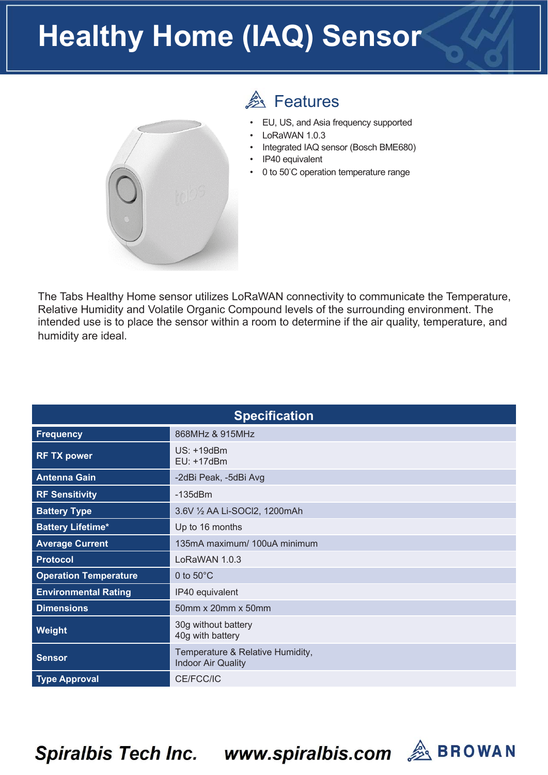## **Healthy Home (IAQ) Sensor**



## **A** Features

- EU, US, and Asia frequency supported
- LoRaWAN 1.0.3
- Integrated IAQ sensor (Bosch BME680)
- IP40 equivalent
- 0 to 50°C operation temperature range

The Tabs Healthy Home sensor utilizes LoRaWAN connectivity to communicate the Temperature, Relative Humidity and Volatile Organic Compound levels of the surrounding environment. The intended use is to place the sensor within a room to determine if the air quality, temperature, and humidity are ideal.

| <b>Specification</b>         |                                                               |  |  |
|------------------------------|---------------------------------------------------------------|--|--|
| <b>Frequency</b>             | 868MHz & 915MHz                                               |  |  |
| <b>RF TX power</b>           | US: +19dBm<br>EU: +17dBm                                      |  |  |
| <b>Antenna Gain</b>          | -2dBi Peak, -5dBi Avg                                         |  |  |
| <b>RF Sensitivity</b>        | $-135dBm$                                                     |  |  |
| <b>Battery Type</b>          | 3.6V 1/2 AA Li-SOCl2, 1200mAh                                 |  |  |
| <b>Battery Lifetime*</b>     | Up to 16 months                                               |  |  |
| <b>Average Current</b>       | 135mA maximum/ 100uA minimum                                  |  |  |
| <b>Protocol</b>              | LoRaWAN 1.0.3                                                 |  |  |
| <b>Operation Temperature</b> | 0 to $50^{\circ}$ C                                           |  |  |
| <b>Environmental Rating</b>  | IP40 equivalent                                               |  |  |
| <b>Dimensions</b>            | 50mm x 20mm x 50mm                                            |  |  |
| <b>Weight</b>                | 30g without battery<br>40g with battery                       |  |  |
| <b>Sensor</b>                | Temperature & Relative Humidity,<br><b>Indoor Air Quality</b> |  |  |
| <b>Type Approval</b>         | CE/FCC/IC                                                     |  |  |

Spiralbis Tech Inc. www.spiralbis.com & BROWAN